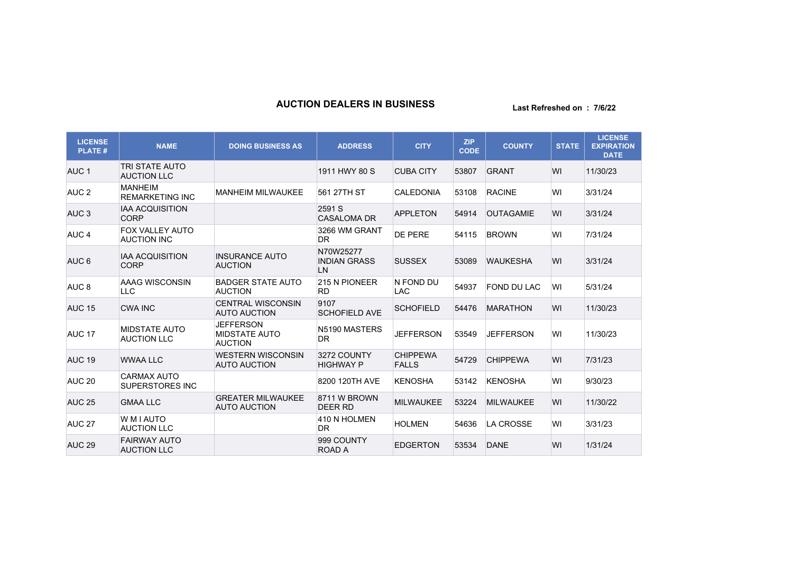## **AUCTION DEALERS IN BUSINESS Last Refreshed on : 7/6/22**

| <b>LICENSE</b><br><b>PLATE#</b> | <b>NAME</b>                                  | <b>DOING BUSINESS AS</b>                                   | <b>ADDRESS</b>                         | <b>CITY</b>                     | <b>ZIP</b><br><b>CODE</b> | <b>COUNTY</b>    | <b>STATE</b> | <b>LICENSE</b><br><b>EXPIRATION</b><br><b>DATE</b> |
|---------------------------------|----------------------------------------------|------------------------------------------------------------|----------------------------------------|---------------------------------|---------------------------|------------------|--------------|----------------------------------------------------|
| AUC <sub>1</sub>                | <b>TRI STATE AUTO</b><br><b>AUCTION LLC</b>  |                                                            | 1911 HWY 80 S                          | <b>CUBA CITY</b>                | 53807                     | <b>GRANT</b>     | WI           | 11/30/23                                           |
| AUC <sub>2</sub>                | <b>MANHEIM</b><br><b>REMARKETING INC</b>     | <b>MANHEIM MILWAUKEE</b>                                   | 561 27TH ST                            | <b>CALEDONIA</b>                | 53108                     | <b>RACINE</b>    | WI           | 3/31/24                                            |
| AUC <sub>3</sub>                | <b>IAA ACQUISITION</b><br><b>CORP</b>        |                                                            | 2591 S<br><b>CASALOMA DR</b>           | <b>APPLETON</b>                 | 54914                     | <b>OUTAGAMIE</b> | WI           | 3/31/24                                            |
| AUC <sub>4</sub>                | FOX VALLEY AUTO<br><b>AUCTION INC</b>        |                                                            | 3266 WM GRANT<br><b>DR</b>             | <b>DE PERE</b>                  | 54115                     | <b>BROWN</b>     | WI           | 7/31/24                                            |
| AUC <sub>6</sub>                | <b>IAA ACQUISITION</b><br><b>CORP</b>        | <b>INSURANCE AUTO</b><br><b>AUCTION</b>                    | N70W25277<br><b>INDIAN GRASS</b><br>LN | <b>SUSSEX</b>                   | 53089                     | <b>WAUKESHA</b>  | WI           | 3/31/24                                            |
| AUC <sub>8</sub>                | AAAG WISCONSIN<br><b>LLC</b>                 | <b>BADGER STATE AUTO</b><br><b>AUCTION</b>                 | 215 N PIONEER<br><b>RD</b>             | N FOND DU<br><b>LAC</b>         | 54937                     | FOND DU LAC      | WI           | 5/31/24                                            |
| <b>AUC 15</b>                   | <b>CWA INC</b>                               | <b>CENTRAL WISCONSIN</b><br><b>AUTO AUCTION</b>            | 9107<br><b>SCHOFIELD AVE</b>           | <b>SCHOFIELD</b>                | 54476                     | <b>MARATHON</b>  | WI           | 11/30/23                                           |
| AUC <sub>17</sub>               | <b>MIDSTATE AUTO</b><br><b>AUCTION LLC</b>   | <b>JEFFERSON</b><br><b>MIDSTATE AUTO</b><br><b>AUCTION</b> | N5190 MASTERS<br><b>DR</b>             | <b>JEFFERSON</b>                | 53549                     | <b>JEFFERSON</b> | WI           | 11/30/23                                           |
| AUC <sub>19</sub>               | <b>WWAA LLC</b>                              | <b>WESTERN WISCONSIN</b><br><b>AUTO AUCTION</b>            | 3272 COUNTY<br><b>HIGHWAY P</b>        | <b>CHIPPEWA</b><br><b>FALLS</b> | 54729                     | <b>CHIPPEWA</b>  | WI           | 7/31/23                                            |
| AUC <sub>20</sub>               | <b>CARMAX AUTO</b><br><b>SUPERSTORES INC</b> |                                                            | 8200 120TH AVE                         | <b>KENOSHA</b>                  | 53142                     | <b>KENOSHA</b>   | WI           | 9/30/23                                            |
| <b>AUC 25</b>                   | <b>GMAA LLC</b>                              | <b>GREATER MILWAUKEE</b><br><b>AUTO AUCTION</b>            | 8711 W BROWN<br><b>DEER RD</b>         | <b>MILWAUKEE</b>                | 53224                     | <b>MILWAUKEE</b> | WI           | 11/30/22                                           |
| AUC <sub>27</sub>               | <b>WMIAUTO</b><br><b>AUCTION LLC</b>         |                                                            | 410 N HOLMEN<br><b>DR</b>              | <b>HOLMEN</b>                   | 54636                     | <b>LA CROSSE</b> | WI           | 3/31/23                                            |
| AUC <sub>29</sub>               | <b>FAIRWAY AUTO</b><br><b>AUCTION LLC</b>    |                                                            | 999 COUNTY<br>ROAD A                   | <b>EDGERTON</b>                 | 53534                     | <b>DANE</b>      | WI           | 1/31/24                                            |